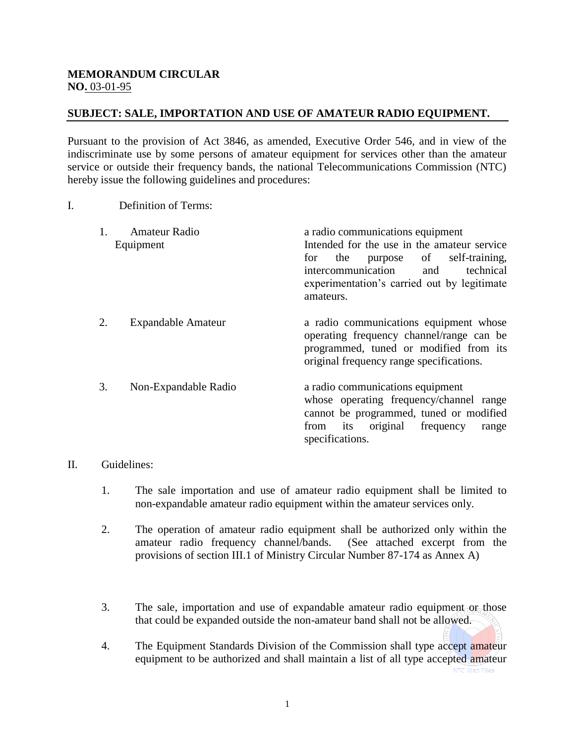## **MEMORANDUM CIRCULAR NO.** 03-01-95

## **SUBJECT: SALE, IMPORTATION AND USE OF AMATEUR RADIO EQUIPMENT.**

Pursuant to the provision of Act 3846, as amended, Executive Order 546, and in view of the indiscriminate use by some persons of amateur equipment for services other than the amateur service or outside their frequency bands, the national Telecommunications Commission (NTC) hereby issue the following guidelines and procedures:

## I. Definition of Terms:

| <b>Amateur Radio</b><br>Equipment | a radio communications equipment<br>Intended for the use in the amateur service<br>purpose of self-training,<br>the<br>for<br>intercommunication<br>technical<br>and<br>experimentation's carried out by legitimate<br>amateurs. |
|-----------------------------------|----------------------------------------------------------------------------------------------------------------------------------------------------------------------------------------------------------------------------------|
| 2.<br>Expandable Amateur          | a radio communications equipment whose<br>operating frequency channel/range can be<br>programmed, tuned or modified from its<br>original frequency range specifications.                                                         |
| 3.<br>Non-Expandable Radio        | a radio communications equipment<br>whose operating frequency/channel range<br>cannot be programmed, tuned or modified<br>original frequency<br>from<br>its<br>range<br>specifications.                                          |

## II. Guidelines:

- 1. The sale importation and use of amateur radio equipment shall be limited to non-expandable amateur radio equipment within the amateur services only.
- 2. The operation of amateur radio equipment shall be authorized only within the amateur radio frequency channel/bands. (See attached excerpt from the provisions of section III.1 of Ministry Circular Number 87-174 as Annex A)
- 3. The sale, importation and use of expandable amateur radio equipment or those that could be expanded outside the non-amateur band shall not be allowed.
- 4. The Equipment Standards Division of the Commission shall type accept amateur equipment to be authorized and shall maintain a list of all type accepted amateur